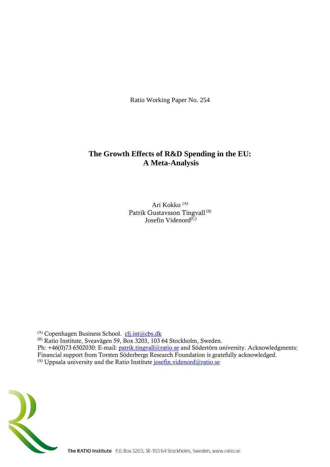Ratio Working Paper No. 254

# **The Growth Effects of R&D Spending in the EU: A Meta-Analysis**

Ari Kokko (A) Patrik Gustavsson Tingvall<sup>(B)</sup> Josefin Videnord<sup>(C)</sup>

 $(A)$  Copenhagen Business School.  $clj.int@cbs.dk$ 

(B) Ratio Institute, Sveavägen 59, Box 3203, 103 64 Stockholm, Sweden. Ph: +46(0)73 6502030: E-mail: [patrik.tingvall@ratio.se](mailto:patrik.tingvall@ratio.se) and Södertörn university. Acknowledgments: Financial support from Torsten Söderbergs Research Foundation is gratefully acknowledged.  $(A)$  Uppsala university and the Ratio Institute [josefin.videnord@ratio.se](mailto:josefin.videnord@ratio.se)

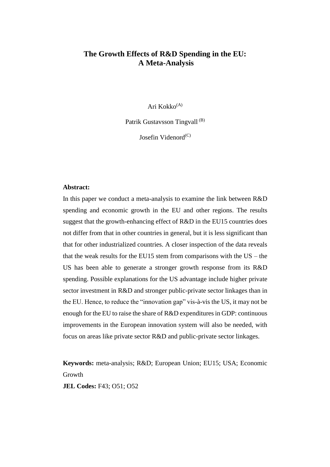## **The Growth Effects of R&D Spending in the EU: A Meta-Analysis**

Ari Kokko<sup>(A)</sup>

Patrik Gustavsson Tingvall<sup>(B)</sup>

Josefin Videnord<sup>(C)</sup>

## **Abstract:**

In this paper we conduct a meta-analysis to examine the link between R&D spending and economic growth in the EU and other regions. The results suggest that the growth-enhancing effect of R&D in the EU15 countries does not differ from that in other countries in general, but it is less significant than that for other industrialized countries. A closer inspection of the data reveals that the weak results for the EU15 stem from comparisons with the  $US -$  the US has been able to generate a stronger growth response from its R&D spending. Possible explanations for the US advantage include higher private sector investment in R&D and stronger public-private sector linkages than in the EU. Hence, to reduce the "innovation gap" vis-à-vis the US, it may not be enough for the EU to raise the share of R&D expenditures in GDP: continuous improvements in the European innovation system will also be needed, with focus on areas like private sector R&D and public-private sector linkages.

**Keywords:** meta-analysis; R&D; European Union; EU15; USA; Economic Growth

**JEL Codes:** F43; O51; O52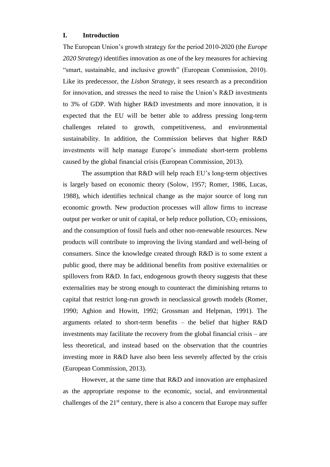## **I. Introduction**

The European Union's growth strategy for the period 2010-2020 (the *Europe 2020 Strategy*) identifies innovation as one of the key measures for achieving "smart, sustainable, and inclusive growth" (European Commission, 2010). Like its predecessor, the *Lisbon Strategy*, it sees research as a precondition for innovation, and stresses the need to raise the Union's R&D investments to 3% of GDP. With higher R&D investments and more innovation, it is expected that the EU will be better able to address pressing long-term challenges related to growth, competitiveness, and environmental sustainability. In addition, the Commission believes that higher R&D investments will help manage Europe's immediate short-term problems caused by the global financial crisis (European Commission, 2013).

The assumption that R&D will help reach EU's long-term objectives is largely based on economic theory (Solow, 1957; Romer, 1986, Lucas, 1988), which identifies technical change as the major source of long run economic growth. New production processes will allow firms to increase output per worker or unit of capital, or help reduce pollution,  $CO<sub>2</sub>$  emissions, and the consumption of fossil fuels and other non-renewable resources. New products will contribute to improving the living standard and well-being of consumers. Since the knowledge created through R&D is to some extent a public good, there may be additional benefits from positive externalities or spillovers from R&D. In fact, endogenous growth theory suggests that these externalities may be strong enough to counteract the diminishing returns to capital that restrict long-run growth in neoclassical growth models (Romer, 1990; Aghion and Howitt, 1992; Grossman and Helpman, 1991). The arguments related to short-term benefits – the belief that higher R&D investments may facilitate the recovery from the global financial crisis – are less theoretical, and instead based on the observation that the countries investing more in R&D have also been less severely affected by the crisis (European Commission, 2013).

However, at the same time that R&D and innovation are emphasized as the appropriate response to the economic, social, and environmental challenges of the  $21<sup>st</sup>$  century, there is also a concern that Europe may suffer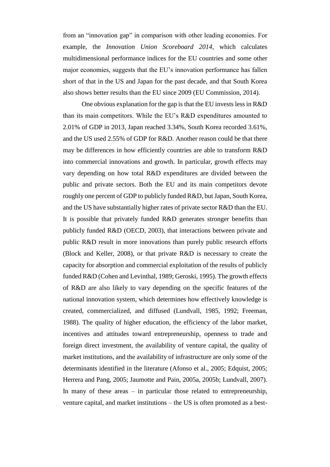from an "innovation gap" in comparison with other leading economies. For example, the *Innovation Union Scoreboard 2014*, which calculates multidimensional performance indices for the EU countries and some other major economies, suggests that the EU's innovation performance has fallen short of that in the US and Japan for the past decade, and that South Korea also shows better results than the EU since 2009 (EU Commission, 2014).

One obvious explanation for the gap is that the EU invests less in R&D than its main competitors. While the EU's R&D expenditures amounted to 2.01% of GDP in 2013, Japan reached 3.34%, South Korea recorded 3.61%, and the US used 2.55% of GDP for R&D. Another reason could be that there may be differences in how efficiently countries are able to transform R&D into commercial innovations and growth. In particular, growth effects may vary depending on how total R&D expenditures are divided between the public and private sectors. Both the EU and its main competitors devote roughly one percent of GDP to publicly funded R&D, but Japan, South Korea, and the US have substantially higher rates of private sector R&D than the EU. It is possible that privately funded R&D generates stronger benefits than publicly funded R&D (OECD, 2003), that interactions between private and public R&D result in more innovations than purely public research efforts (Block and Keller, 2008), or that private R&D is necessary to create the capacity for absorption and commercial exploitation of the results of publicly funded R&D (Cohen and Levinthal, 1989; Geroski, 1995). The growth effects of R&D are also likely to vary depending on the specific features of the national innovation system, which determines how effectively knowledge is created, commercialized, and diffused (Lundvall, 1985, 1992; Freeman, 1988). The quality of higher education, the efficiency of the labor market, incentives and attitudes toward entrepreneurship, openness to trade and foreign direct investment, the availability of venture capital, the quality of market institutions, and the availability of infrastructure are only some of the determinants identified in the literature (Afonso et al., 2005; Edquist, 2005; Herrera and Pang, 2005; Jaumotte and Pain, 2005a, 2005b; Lundvall, 2007). In many of these areas – in particular those related to entrepreneurship, venture capital, and market institutions – the US is often promoted as a best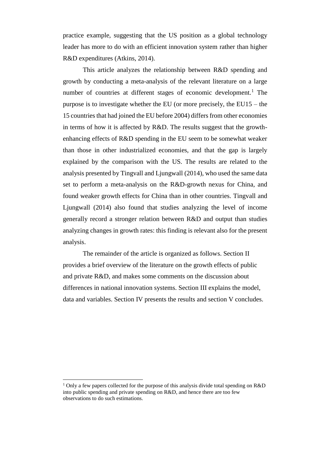practice example, suggesting that the US position as a global technology leader has more to do with an efficient innovation system rather than higher R&D expenditures (Atkins, 2014).

This article analyzes the relationship between R&D spending and growth by conducting a meta-analysis of the relevant literature on a large number of countries at different stages of economic development.<sup>1</sup> The purpose is to investigate whether the EU (or more precisely, the EU15 – the 15 countries that had joined the EU before 2004) differs from other economies in terms of how it is affected by R&D. The results suggest that the growthenhancing effects of R&D spending in the EU seem to be somewhat weaker than those in other industrialized economies, and that the gap is largely explained by the comparison with the US. The results are related to the analysis presented by Tingvall and Ljungwall (2014), who used the same data set to perform a meta-analysis on the R&D-growth nexus for China, and found weaker growth effects for China than in other countries. Tingvall and Ljungwall (2014) also found that studies analyzing the level of income generally record a stronger relation between R&D and output than studies analyzing changes in growth rates: this finding is relevant also for the present analysis.

The remainder of the article is organized as follows. Section II provides a brief overview of the literature on the growth effects of public and private R&D, and makes some comments on the discussion about differences in national innovation systems. Section III explains the model, data and variables. Section IV presents the results and section V concludes.

<sup>&</sup>lt;sup>1</sup> Only a few papers collected for the purpose of this analysis divide total spending on R&D into public spending and private spending on R&D, and hence there are too few observations to do such estimations.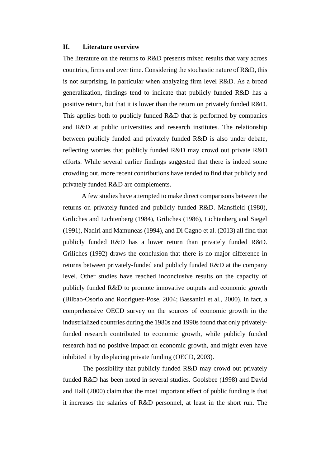#### **II. Literature overview**

The literature on the returns to R&D presents mixed results that vary across countries, firms and over time. Considering the stochastic nature of R&D, this is not surprising, in particular when analyzing firm level R&D. As a broad generalization, findings tend to indicate that publicly funded R&D has a positive return, but that it is lower than the return on privately funded R&D. This applies both to publicly funded R&D that is performed by companies and R&D at public universities and research institutes. The relationship between publicly funded and privately funded R&D is also under debate, reflecting worries that publicly funded R&D may crowd out private R&D efforts. While several earlier findings suggested that there is indeed some crowding out, more recent contributions have tended to find that publicly and privately funded R&D are complements.

A few studies have attempted to make direct comparisons between the returns on privately-funded and publicly funded R&D. Mansfield (1980), Griliches and Lichtenberg (1984), Griliches (1986), Lichtenberg and Siegel (1991), Nadiri and Mamuneas (1994), and Di Cagno et al. (2013) all find that publicly funded R&D has a lower return than privately funded R&D. Griliches (1992) draws the conclusion that there is no major difference in returns between privately-funded and publicly funded R&D at the company level. Other studies have reached inconclusive results on the capacity of publicly funded R&D to promote innovative outputs and economic growth (Bilbao-Osorio and Rodriguez-Pose, 2004; Bassanini et al., 2000). In fact, a comprehensive OECD survey on the sources of economic growth in the industrialized countries during the 1980s and 1990s found that only privatelyfunded research contributed to economic growth, while publicly funded research had no positive impact on economic growth, and might even have inhibited it by displacing private funding (OECD, 2003).

The possibility that publicly funded R&D may crowd out privately funded R&D has been noted in several studies. Goolsbee (1998) and David and Hall (2000) claim that the most important effect of public funding is that it increases the salaries of R&D personnel, at least in the short run. The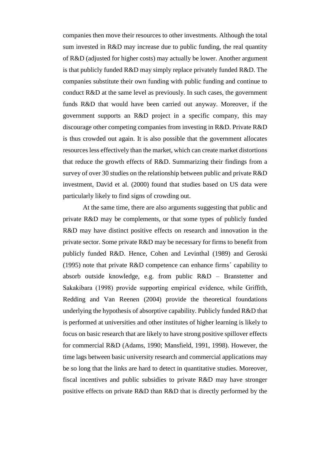companies then move their resources to other investments. Although the total sum invested in R&D may increase due to public funding, the real quantity of R&D (adjusted for higher costs) may actually be lower. Another argument is that publicly funded R&D may simply replace privately funded R&D. The companies substitute their own funding with public funding and continue to conduct R&D at the same level as previously. In such cases, the government funds R&D that would have been carried out anyway. Moreover, if the government supports an R&D project in a specific company, this may discourage other competing companies from investing in R&D. Private R&D is thus crowded out again. It is also possible that the government allocates resources less effectively than the market, which can create market distortions that reduce the growth effects of R&D. Summarizing their findings from a survey of over 30 studies on the relationship between public and private R&D investment, David et al. (2000) found that studies based on US data were particularly likely to find signs of crowding out.

At the same time, there are also arguments suggesting that public and private R&D may be complements, or that some types of publicly funded R&D may have distinct positive effects on research and innovation in the private sector. Some private R&D may be necessary for firms to benefit from publicly funded R&D. Hence, Cohen and Levinthal (1989) and Geroski (1995) note that private R&D competence can enhance firms´ capability to absorb outside knowledge, e.g. from public R&D – Branstetter and Sakakibara (1998) provide supporting empirical evidence, while Griffith, Redding and Van Reenen (2004) provide the theoretical foundations underlying the hypothesis of absorptive capability. Publicly funded R&D that is performed at universities and other institutes of higher learning is likely to focus on basic research that are likely to have strong positive spillover effects for commercial R&D (Adams, 1990; Mansfield, 1991, 1998). However, the time lags between basic university research and commercial applications may be so long that the links are hard to detect in quantitative studies. Moreover, fiscal incentives and public subsidies to private R&D may have stronger positive effects on private R&D than R&D that is directly performed by the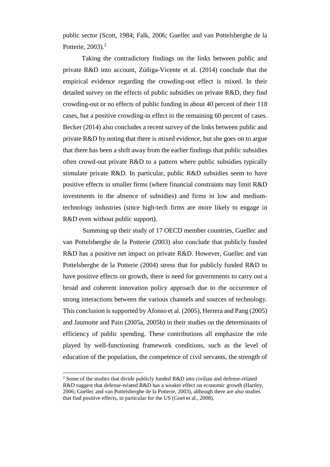public sector (Scott, 1984; Falk, 2006; Guellec and van Pottelsberghe de la Potterie,  $2003$ ). $<sup>2</sup>$ </sup>

Taking the contradictory findings on the links between public and private R&D into account, Zúñiga-Vicente et al. (2014) conclude that the empirical evidence regarding the crowding-out effect is mixed. In their detailed survey on the effects of public subsidies on private R&D, they find crowding-out or no effects of public funding in about 40 percent of their 118 cases, but a positive crowding-in effect in the remaining 60 percent of cases. Becker (2014) also concludes a recent survey of the links between public and private R&D by noting that there is mixed evidence, but she goes on to argue that there has been a shift away from the earlier findings that public subsidies often crowd-out private R&D to a pattern where public subsidies typically stimulate private R&D. In particular, public R&D subsidies seem to have positive effects in smaller firms (where financial constraints may limit R&D investments in the absence of subsidies) and firms in low and mediumtechnology industries (since high-tech firms are more likely to engage in R&D even without public support).

Summing up their study of 17 OECD member countries, Guellec and van Pottelsberghe de la Potterie (2003) also conclude that publicly funded R&D has a positive net impact on private R&D. However, Guellec and van Pottelsberghe de la Potterie (2004) stress that for publicly funded R&D to have positive effects on growth, there is need for governments to carry out a broad and coherent innovation policy approach due to the occurrence of strong interactions between the various channels and sources of technology. This conclusion is supported by Afonso et al. (2005), Herrera and Pang (2005) and Jaumotte and Pain (2005a, 2005b) in their studies on the determinants of efficiency of public spending. These contributions all emphasize the role played by well-functioning framework conditions, such as the level of education of the population, the competence of civil servants, the strength of

 $\overline{a}$ 

<sup>2</sup> Some of the studies that divide publicly funded R&D into civilian and defense-related R&D suggest that defense-related R&D has a weaker effect on economic growth (Hartley, 2006; Guellec and van Pottelsberghe de la Potterie, 2003), although there are also studies that find positive effects, in particular for the US (Goel et al., 2008).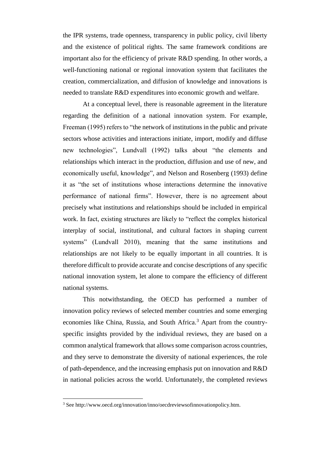the IPR systems, trade openness, transparency in public policy, civil liberty and the existence of political rights. The same framework conditions are important also for the efficiency of private R&D spending. In other words, a well-functioning national or regional innovation system that facilitates the creation, commercialization, and diffusion of knowledge and innovations is needed to translate R&D expenditures into economic growth and welfare.

At a conceptual level, there is reasonable agreement in the literature regarding the definition of a national innovation system. For example, Freeman (1995) refers to "the network of institutions in the public and private sectors whose activities and interactions initiate, import, modify and diffuse new technologies", Lundvall (1992) talks about "the elements and relationships which interact in the production, diffusion and use of new, and economically useful, knowledge", and Nelson and Rosenberg (1993) define it as "the set of institutions whose interactions determine the innovative performance of national firms". However, there is no agreement about precisely what institutions and relationships should be included in empirical work. In fact, existing structures are likely to "reflect the complex historical interplay of social, institutional, and cultural factors in shaping current systems" (Lundvall 2010), meaning that the same institutions and relationships are not likely to be equally important in all countries. It is therefore difficult to provide accurate and concise descriptions of any specific national innovation system, let alone to compare the efficiency of different national systems.

This notwithstanding, the OECD has performed a number of innovation policy reviews of selected member countries and some emerging economies like China, Russia, and South Africa.<sup>3</sup> Apart from the countryspecific insights provided by the individual reviews, they are based on a common analytical framework that allows some comparison across countries, and they serve to demonstrate the diversity of national experiences, the role of path-dependence, and the increasing emphasis put on innovation and R&D in national policies across the world. Unfortunately, the completed reviews

<sup>3</sup> See http://www.oecd.org/innovation/inno/oecdreviewsofinnovationpolicy.htm.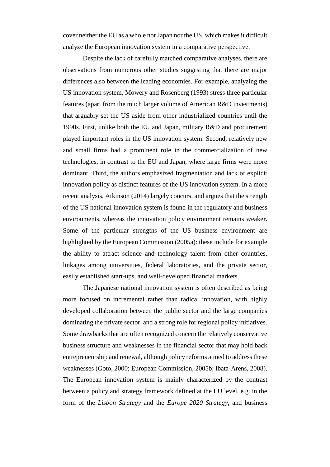cover neither the EU as a whole nor Japan nor the US, which makes it difficult analyze the European innovation system in a comparative perspective.

Despite the lack of carefully matched comparative analyses, there are observations from numerous other studies suggesting that there are major differences also between the leading economies. For example, analyzing the US innovation system, Mowery and Rosenberg (1993) stress three particular features (apart from the much larger volume of American R&D investments) that arguably set the US aside from other industrialized countries until the 1990s. First, unlike both the EU and Japan, military R&D and procurement played important roles in the US innovation system. Second, relatively new and small firms had a prominent role in the commercialization of new technologies, in contrast to the EU and Japan, where large firms were more dominant. Third, the authors emphasized fragmentation and lack of explicit innovation policy as distinct features of the US innovation system. In a more recent analysis, Atkinson (2014) largely concurs, and argues that the strength of the US national innovation system is found in the regulatory and business environments, whereas the innovation policy environment remains weaker. Some of the particular strengths of the US business environment are highlighted by the European Commission (2005a): these include for example the ability to attract science and technology talent from other countries, linkages among universities, federal laboratories, and the private sector, easily established start-ups, and well-developed financial markets.

The Japanese national innovation system is often described as being more focused on incremental rather than radical innovation, with highly developed collaboration between the public sector and the large companies dominating the private sector, and a strong role for regional policy initiatives. Some drawbacks that are often recognized concern the relatively conservative business structure and weaknesses in the financial sector that may hold back entrepreneurship and renewal, although policy reforms aimed to address these weaknesses (Goto, 2000; European Commission, 2005b; Ibata-Arens, 2008). The European innovation system is mainly characterized by the contrast between a policy and strategy framework defined at the EU level, e.g. in the form of the *Lisbon Strategy* and the *Europe 2020 Strategy*, and business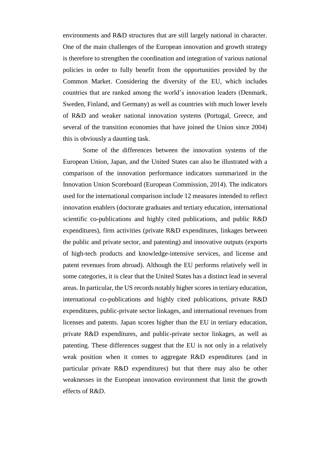environments and R&D structures that are still largely national in character. One of the main challenges of the European innovation and growth strategy is therefore to strengthen the coordination and integration of various national policies in order to fully benefit from the opportunities provided by the Common Market. Considering the diversity of the EU, which includes countries that are ranked among the world's innovation leaders (Denmark, Sweden, Finland, and Germany) as well as countries with much lower levels of R&D and weaker national innovation systems (Portugal, Greece, and several of the transition economies that have joined the Union since 2004) this is obviously a daunting task.

Some of the differences between the innovation systems of the European Union, Japan, and the United States can also be illustrated with a comparison of the innovation performance indicators summarized in the Innovation Union Scoreboard (European Commission, 2014). The indicators used for the international comparison include 12 measures intended to reflect innovation enablers (doctorate graduates and tertiary education, international scientific co-publications and highly cited publications, and public R&D expenditures), firm activities (private R&D expenditures, linkages between the public and private sector, and patenting) and innovative outputs (exports of high-tech products and knowledge-intensive services, and license and patent revenues from abroad). Although the EU performs relatively well in some categories, it is clear that the United States has a distinct lead in several areas. In particular, the US records notably higher scores in tertiary education, international co-publications and highly cited publications, private R&D expenditures, public-private sector linkages, and international revenues from licenses and patents. Japan scores higher than the EU in tertiary education, private R&D expenditures, and public-private sector linkages, as well as patenting. These differences suggest that the EU is not only in a relatively weak position when it comes to aggregate R&D expenditures (and in particular private R&D expenditures) but that there may also be other weaknesses in the European innovation environment that limit the growth effects of R&D.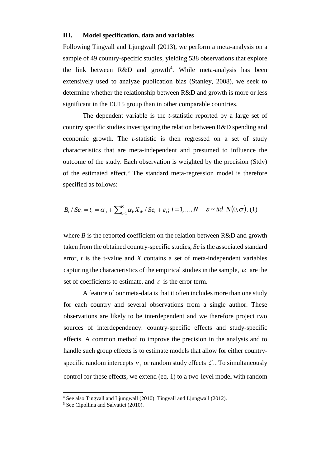#### **III. Model specification, data and variables**

Following Tingvall and Ljungwall (2013), we perform a meta-analysis on a sample of 49 country-specific studies, yielding 538 observations that explore the link between  $R&D$  and growth<sup>4</sup>. While meta-analysis has been extensively used to analyze publication bias (Stanley, 2008), we seek to determine whether the relationship between R&D and growth is more or less significant in the EU15 group than in other comparable countries.

The dependent variable is the *t*-statistic reported by a large set of country specific studies investigating the relation between R&D spending and economic growth. The *t*-statistic is then regressed on a set of study characteristics that are meta-independent and presumed to influence the outcome of the study. Each observation is weighted by the precision (Stdv) of the estimated effect.<sup>5</sup> The standard meta-regression model is therefore specified as follows:

$$
B_i / Se_i = t_i = \alpha_0 + \sum_{k=1}^{K} \alpha_k X_{ik} / Se_i + \varepsilon_i; i = 1,...,N \quad \varepsilon \sim \textit{iid} \ N(0, \sigma), (1)
$$

where  $B$  is the reported coefficient on the relation between  $R&D$  and growth taken from the obtained country-specific studies, *Se* is the associated standard error, *t* is the t-value and *X* contains a set of meta-independent variables capturing the characteristics of the empirical studies in the sample,  $\alpha$  are the set of coefficients to estimate, and  $\varepsilon$  is the error term.

A feature of our meta-data is that it often includes more than one study for each country and several observations from a single author. These observations are likely to be interdependent and we therefore project two sources of interdependency: country-specific effects and study-specific effects. A common method to improve the precision in the analysis and to handle such group effects is to estimate models that allow for either countryspecific random intercepts  $v_j$  or random study effects  $\zeta_i$ . To simultaneously control for these effects, we extend (eq. 1) to a two-level model with random

<sup>&</sup>lt;sup>4</sup> See also Tingvall and Ljungwall (2010); Tingvall and Ljungwall (2012).

<sup>&</sup>lt;sup>5</sup> See Cipollina and Salvatici (2010).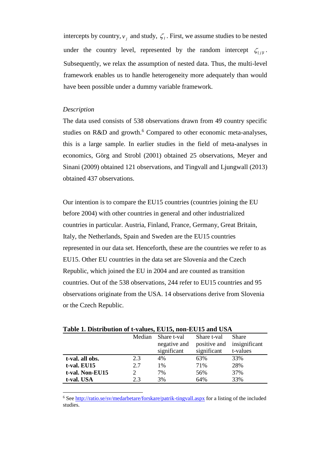intercepts by country,  $v_j$  and study,  $\zeta_l$ . First, we assume studies to be nested under the country level, represented by the random intercept  $\zeta_{[j]l}$ . Subsequently, we relax the assumption of nested data. Thus, the multi-level framework enables us to handle heterogeneity more adequately than would have been possible under a dummy variable framework.

#### *Description*

l

The data used consists of 538 observations drawn from 49 country specific studies on R&D and growth.<sup>6</sup> Compared to other economic meta-analyses, this is a large sample. In earlier studies in the field of meta-analyses in economics, Görg and Strobl (2001) obtained 25 observations, Meyer and Sinani (2009) obtained 121 observations, and Tingvall and Ljungwall (2013) obtained 437 observations.

Our intention is to compare the EU15 countries (countries joining the EU before 2004) with other countries in general and other industrialized countries in particular. Austria, Finland, France, Germany, Great Britain, Italy, the Netherlands, Spain and Sweden are the EU15 countries represented in our data set. Henceforth, these are the countries we refer to as EU15. Other EU countries in the data set are Slovenia and the Czech Republic, which joined the EU in 2004 and are counted as transition countries. Out of the 538 observations, 244 refer to EU15 countries and 95 observations originate from the USA. 14 observations derive from Slovenia or the Czech Republic.

|                 | Median | Share t-val  | Share t-val  | <b>Share</b>  |  |  |  |
|-----------------|--------|--------------|--------------|---------------|--|--|--|
|                 |        | negative and | positive and | insignificant |  |  |  |
|                 |        | significant  | significant  | t-values      |  |  |  |
| t-val. all obs. | 2.3    | 4%           | 63%          | 33%           |  |  |  |
| t-val. EU15     | 2.7    | 1%           | 71%          | 28%           |  |  |  |
| t-val. Non-EU15 |        | 7%           | 56%          | 37%           |  |  |  |
| t-val. USA      | 2.3    | 3%           | 64%          | 33%           |  |  |  |

**Table 1. Distribution of t-values, EU15, non-EU15 and USA**

<sup>6</sup> See<http://ratio.se/sv/medarbetare/forskare/patrik-tingvall.aspx> for a listing of the included studies.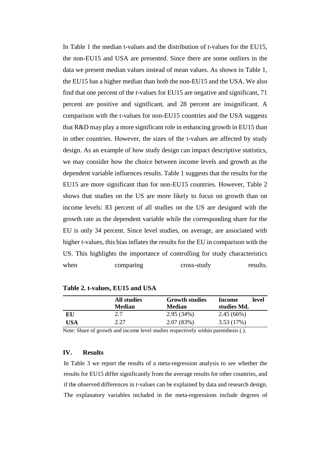In Table 1 the median t-values and the distribution of t-values for the EU15, the non-EU15 and USA are presented. Since there are some outliers in the data we present median values instead of mean values. As shown in Table 1, the EU15 has a higher median than both the non-EU15 and the USA. We also find that one percent of the *t*-values for EU15 are negative and significant, 71 percent are positive and significant, and 28 percent are insignificant. A comparison with the t-values for non-EU15 countries and the USA suggests that R&D may play a more significant role in enhancing growth in EU15 than in other countries. However, the sizes of the t-values are affected by study design. As an example of how study design can impact descriptive statistics, we may consider how the choice between income levels and growth as the dependent variable influences results. Table 1 suggests that the results for the EU15 are more significant than for non-EU15 countries. However, Table 2 shows that studies on the US are more likely to focus on growth than on income levels: 83 percent of all studies on the US are designed with the growth rate as the dependent variable while the corresponding share for the EU is only 34 percent. Since level studies, on average, are associated with higher t-values, this bias inflates the results for the EU in comparison with the US. This highlights the importance of controlling for study characteristics when comparing cross-study results.

|     | All studies<br><b>Median</b> | <b>Growth studies</b><br><b>Median</b> | level<br>Income<br>studies Md. |
|-----|------------------------------|----------------------------------------|--------------------------------|
| EU  | 2.7                          | 2.95(34%)                              | 2.45(66%)                      |
| USA | 2.27                         | 2.07(83%)                              | 3.53(17%)                      |

**Table 2. t-values, EU15 and USA**

Note: Share of growth and income level studies respectively within parenthesis (.).

## **IV. Results**

In Table 3 we report the results of a meta-regression analysis to see whether the results for EU15 differ significantly from the average results for other countries, and if the observed differences in *t*-values can be explained by data and research design. The explanatory variables included in the meta-regressions include degrees of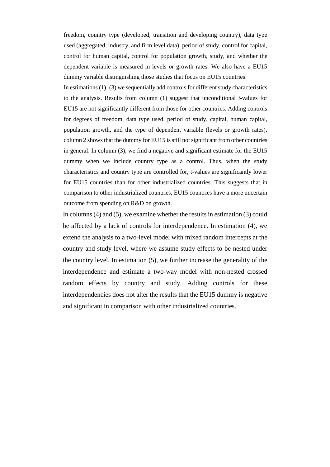freedom, country type (developed, transition and developing country), data type used (aggregated, industry, and firm level data), period of study, control for capital, control for human capital, control for population growth, study, and whether the dependent variable is measured in levels or growth rates. We also have a EU15 dummy variable distinguishing those studies that focus on EU15 countries.

In estimations  $(1)$ – $(3)$  we sequentially add controls for different study characteristics to the analysis. Results from column (1) suggest that unconditional *t*-values for EU15 are not significantly different from those for other countries. Adding controls for degrees of freedom, data type used, period of study, capital, human capital, population growth, and the type of dependent variable (levels or growth rates), column 2 shows that the dummy for EU15 is still not significant from other countries in general. In column (3), we find a negative and significant estimate for the EU15 dummy when we include country type as a control. Thus, when the study characteristics and country type are controlled for, t-values are significantly lower for EU15 countries than for other industrialized countries. This suggests that in comparison to other industrialized countries, EU15 countries have a more uncertain outcome from spending on R&D on growth.

In columns (4) and (5), we examine whether the results in estimation (3) could be affected by a lack of controls for interdependence. In estimation (4), we extend the analysis to a two-level model with mixed random intercepts at the country and study level, where we assume study effects to be nested under the country level. In estimation (5), we further increase the generality of the interdependence and estimate a two-way model with non-nested crossed random effects by country and study. Adding controls for these interdependencies does not alter the results that the EU15 dummy is negative and significant in comparison with other industrialized countries.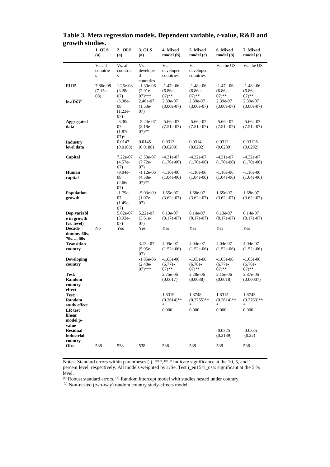|                                                                                   | 1. OLS<br>(a)                | 2. OLS<br>(a)                           | 3. OLS<br>(a)                          | 4. Mixed<br>model (b)                                        | 5. Mixed<br>model (c)                                        | 6. Mixed<br>model(b)                                          | 7. Mixed<br>model(c)                                          |
|-----------------------------------------------------------------------------------|------------------------------|-----------------------------------------|----------------------------------------|--------------------------------------------------------------|--------------------------------------------------------------|---------------------------------------------------------------|---------------------------------------------------------------|
|                                                                                   | Vs. all<br>countrie<br>S     | Vs. all<br>countrie<br>S                | Vs.<br>develope<br>d<br>countries      | Vs.<br>developed<br>countries                                | Vs.<br>developed<br>countries                                | Vs. the US                                                    | Vs. the US                                                    |
| <b>EU15</b>                                                                       | 7.86e-08<br>$(7.15e-$<br>08) | 1.26e-08<br>$(3.28e-$<br>(07)           | $-1.30e-06$<br>$(2.91e-$<br>$(07)$ *** | $-1.47e-06$<br>$(6.86e -$<br>$(07)$ **                       | $-1.48e-06$<br>$(6.86e -$<br>$(07)$ **                       | $-1.47e-06$<br>$(6.86e -$<br>$(07)$ **                        | $-1.48e-06$<br>$(6.86e -$<br>$(07)$ **                        |
| $\ln\sqrt{DGF}$                                                                   |                              | $-5.98e-$<br>08<br>$(1.23e-$<br>07)     | 2.46e-07<br>$(1.53e-$<br>07)           | 2.39e-07<br>$(3.00e-07)$                                     | 2.39e-07<br>$(3.00e-07)$                                     | 2.39e-07<br>$(3.00e-07)$                                      | 2.39e-07<br>$(3.00e-07)$                                      |
| <b>Aggregated</b><br>data                                                         |                              | $-3.30e-$<br>07<br>$(1.87e-$<br>$(07)*$ | $-5.24e-07$<br>$(2.18e-$<br>$(07)$ **  | $-5.66e-07$<br>$(7.51e-07)$                                  | $-5.66e-07$<br>$(7.51e-07)$                                  | $-5.66e-07$<br>$(7.51e-07)$                                   | $-5.66e-07$<br>$(7.51e-07)$                                   |
| <b>Industry</b><br>level data                                                     |                              | 0.0147<br>(0.0188)                      | 0.0145<br>(0.0188)                     | 0.0313<br>(0.0289)                                           | 0.0314<br>(0.0292)                                           | 0.0312<br>(0.0289)                                            | 0.03126<br>(0.0292)                                           |
| Capital                                                                           |                              | 7.22e-07<br>$(4.57e-$<br>(07)           | $-3.53e-07$<br>$(7.72e-$<br>07)        | $-4.31e-07$<br>$(1.70e-06)$                                  | $-4.32e-07$<br>$(1.70e-06)$                                  | $-4.31e-07$<br>$(1.70e-06)$                                   | $-4.32e-07$<br>$(1.70e-06)$                                   |
| Human<br>capital                                                                  |                              | $-9.04e-$<br>08<br>$(2.66e -$<br>(07)   | $-1.12e-06$<br>$(4.58e-$<br>$(07)$ **  | $-1.16e-06$<br>$(1.04e-06)$                                  | $-1.16e-06$<br>$(1.04e-06)$                                  | $-1.16e-06$<br>$(1.04e-06)$                                   | $-1.16e-06$<br>$(1.04e-06)$                                   |
| Population<br>growth                                                              |                              | $-1.79e-$<br>07<br>$(1.49e -$<br>(07)   | $-5.03e-09$<br>$(1.07e-$<br>07)        | 1.65e-07<br>$(3.62e-07)$                                     | 1.68e-07<br>$(3.62e-07)$                                     | 1.65e-07<br>$(3.62e-07)$                                      | 1.68e-07<br>$(3.62e-07)$                                      |
| Dep.variabl<br>e in growth<br>(vs. level)                                         |                              | 5.62e-07<br>$(3.92e-$<br>07)            | 5.22e-07<br>$(3.61e-$<br>07)           | 6.13e-07<br>$(8.17e-07)$                                     | 6.14e-07<br>$(8.17e-07)$                                     | 6.13e-07<br>$(8.17e-07)$                                      | 6.14e-07<br>$(8.17e-07)$                                      |
| <b>Decade</b><br>dummy 60s,<br>70s, 00s                                           | No                           | Yes                                     | Yes                                    | Yes                                                          | Yes                                                          | Yes                                                           | Yes                                                           |
| <b>Transition</b><br>country                                                      |                              |                                         | 3.13e-07<br>$(5.95e -$<br>(07)         | 4.05e-07<br>$(1.52e-06)$                                     | 4.04e-07<br>$(1.52e-06)$                                     | 4.04e-07<br>$(1.52e-06)$                                      | 4.04e-07<br>$(1.52e-06)$                                      |
| <b>Developing</b><br>country<br>Test:<br><b>Random</b><br>country                 |                              |                                         | $-1.85e-06$<br>$(2.48e-$<br>$(07)$ *** | $-1.65e-06$<br>$(6.77e-$<br>$07)$ **<br>2.75e-06<br>(0.0017) | $-1.65e-06$<br>$(6.78e-$<br>$07)$ **<br>2.28e-06<br>(0.0038) | $-1.65e-06$<br>$(6.77e-$<br>$(07)$ **<br>2.15e-06<br>(0.0018) | $-1.65e-06$<br>$(6.78e-$<br>$07)$ **<br>2.87e-06<br>(0.00007) |
| effect<br>Test:<br><b>Random</b><br>study effect<br>LR test<br>linear<br>model p- |                              |                                         |                                        | 1.8319<br>$(0.2614)$ **<br>$\ast$<br>0.000                   | 1.8748<br>$(0.2755)$ **<br>$\frac{1}{2\pi}$<br>0.000         | 1.8315<br>$(0.2614)$ **<br>0.000                              | 1.8743<br>$(0.2763)$ **<br>$\ast$<br>0.000                    |
| value<br><b>Residual</b><br>industrial<br>country<br>Obs.                         | 538                          | 538                                     | 538                                    | 538                                                          | 538                                                          | $-0.0325$<br>(0.2189)<br>538                                  | $-0.0335$<br>(0.22)<br>538                                    |

**Table 3. Meta regression models. Dependent variable,** *t***-value, R&D and growth studies.**  $\overline{a}$ 

Notes: Standard errors within parentheses (.). \*\*\*,\*\*,\* indicate significance at the 10, 5, and 1 percent level, respectively. All models weighted by 1/Se. Test i\_eu15=i\_usa: significant at the 5 % level.

(a) Robust standard errors. (b) Random intercept model with studies nested under country.

(c) Non-nested (two-way) random country study-effects model.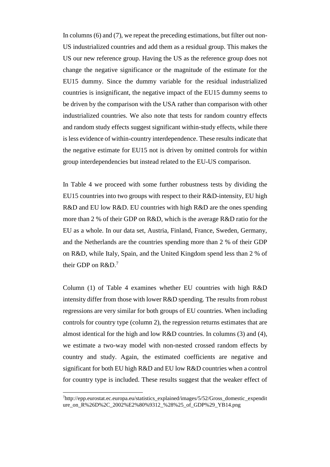In columns (6) and (7), we repeat the preceding estimations, but filter out non-US industrialized countries and add them as a residual group. This makes the US our new reference group. Having the US as the reference group does not change the negative significance or the magnitude of the estimate for the EU15 dummy. Since the dummy variable for the residual industrialized countries is insignificant, the negative impact of the EU15 dummy seems to be driven by the comparison with the USA rather than comparison with other industrialized countries. We also note that tests for random country effects and random study effects suggest significant within-study effects, while there is less evidence of within-country interdependence. These results indicate that the negative estimate for EU15 not is driven by omitted controls for within group interdependencies but instead related to the EU-US comparison.

In Table 4 we proceed with some further robustness tests by dividing the EU15 countries into two groups with respect to their R&D-intensity, EU high R&D and EU low R&D. EU countries with high R&D are the ones spending more than 2 % of their GDP on R&D, which is the average R&D ratio for the EU as a whole. In our data set, Austria, Finland, France, Sweden, Germany, and the Netherlands are the countries spending more than 2 % of their GDP on R&D, while Italy, Spain, and the United Kingdom spend less than 2 % of their GDP on R&D.<sup>7</sup>

Column (1) of Table 4 examines whether EU countries with high R&D intensity differ from those with lower R&D spending. The results from robust regressions are very similar for both groups of EU countries. When including controls for country type (column 2), the regression returns estimates that are almost identical for the high and low R&D countries. In columns (3) and (4), we estimate a two-way model with non-nested crossed random effects by country and study. Again, the estimated coefficients are negative and significant for both EU high R&D and EU low R&D countries when a control for country type is included. These results suggest that the weaker effect of

<sup>7</sup>http://epp.eurostat.ec.europa.eu/statistics\_explained/images/5/52/Gross\_domestic\_expendit ure\_on\_R%26D%2C\_2002%E2%80%9312\_%28%25\_of\_GDP%29\_YB14.png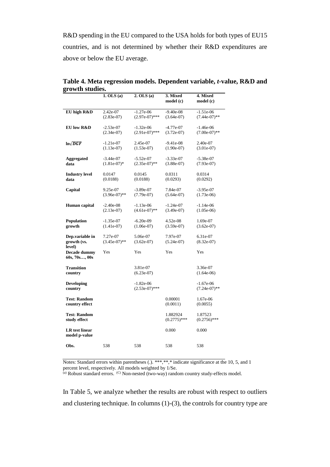R&D spending in the EU compared to the USA holds for both types of EU15 countries, and is not determined by whether their R&D expenditures are above or below the EU average.

|                                          | $1.$ OLS $(a)$               | 2. OLS(a)                       | 3. Mixed<br>model (c)       | 4. Mixed<br>model (c)          |
|------------------------------------------|------------------------------|---------------------------------|-----------------------------|--------------------------------|
| EU high R&D                              | 2.42e-07                     | $-1.27e-06$                     | $-9.40e-08$                 | $-1.51e-06$                    |
|                                          | $(2.83e-07)$                 | $(2.97e-07)$ ***                | $(3.64e-07)$                | $(7.44e-07)$ **                |
| <b>EU</b> low R&D                        | $-2.53e-07$<br>$(2.34e-07)$  | $-1.32e-06$<br>$(2.91e-07)$ *** | $-4.77e-07$<br>$(3.72e-07)$ | $-1.46e-06$<br>$(7.00e-07)$ ** |
| $ln\sqrt{DGF}$                           | $-1.21e-07$<br>$(1.13e-07)$  | 2.45e-07<br>$(1.53e-07)$        | $-9.41e-08$<br>$(1.90e-07)$ | 2.40e-07<br>$(3.01e-07)$       |
| <b>Aggregated</b><br>data                | $-3.44e-07$<br>$(1.81e-07)*$ | $-5.52e-07$<br>$(2.35e-07)$ **  | $-3.33e-07$<br>$(3.88e-07)$ | $-5.38e-07$<br>$(7.93e-07)$    |
| <b>Industry level</b><br>data            | 0.0147<br>(0.0188)           | 0.0145<br>(0.0188)              | 0.0311<br>(0.0293)          | 0.0314<br>(0.0292)             |
| Capital                                  | 9.25e-07<br>$(3.96e-07)$ **  | $-3.89e-07$<br>$(7.79e-07)$     | 7.84e-07<br>$(5.64e-07)$    | $-3.95e-07$<br>$(1.73e-06)$    |
| Human capital                            | $-2.40e-08$<br>$(2.13e-07)$  | $-1.13e-06$<br>$(4.61e-07)**$   | $-1.24e-07$<br>$(3.49e-07)$ | $-1.14e-06$<br>$(1.05e-06)$    |
| <b>Population</b><br>growth              | $-1.35e-07$<br>$(1.41e-07)$  | $-6.20e-09$<br>$(1.06e-07)$     | 4.52e-08<br>$(3.59e-07)$    | 1.69e-07<br>$(3.62e-07)$       |
| Dep.variable in<br>growth (vs.<br>level) | 7.27e-07<br>$(3.45e-07)$ **  | 5.06e-07<br>$(3.62e-07)$        | 7.97e-07<br>$(5.24e-07)$    | 6.31e-07<br>$(8.32e-07)$       |
| Decade dummy<br>60s, 70s, 00s            | Yes                          | Yes                             | Yes                         | Yes                            |
| <b>Transition</b><br>country             |                              | 3.81e-07<br>$(6.23e-07)$        |                             | 3.36e-07<br>$(1.64e-06)$       |
| <b>Developing</b><br>country             |                              | $-1.82e-06$<br>$(2.53e-07)$ *** |                             | $-1.67e-06$<br>$(7.24e-07)$ ** |
| <b>Test: Random</b><br>country effect    |                              |                                 | 0.00001<br>(0.0011)         | 1.67e-06<br>(0.0055)           |
| <b>Test: Random</b><br>study effect      |                              |                                 | 1.882924<br>$(0.2775)$ ***  | 1.87523<br>$(0.2756)$ ***      |
| <b>LR</b> test linear<br>model p-value   |                              |                                 | 0.000                       | 0.000                          |
| Obs.                                     | 538                          | 538                             | 538                         | 538                            |

**Table 4. Meta regression models. Dependent variable,** *t***-value, R&D and growth studies.**

Notes: Standard errors within parentheses (.). \*\*\*,\*\*,\* indicate significance at the 10, 5, and 1 percent level, respectively. All models weighted by 1/Se.

 $^{(a)}$  Robust standard errors.  $^{(C)}$  Non-nested (two-way) random country study-effects model.

In Table 5, we analyze whether the results are robust with respect to outliers and clustering technique. In columns (1)-(3), the controls for country type are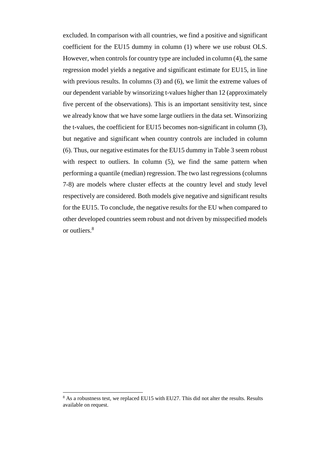excluded. In comparison with all countries, we find a positive and significant coefficient for the EU15 dummy in column (1) where we use robust OLS. However, when controls for country type are included in column (4), the same regression model yields a negative and significant estimate for EU15, in line with previous results. In columns (3) and (6), we limit the extreme values of our dependent variable by winsorizing t-values higher than 12 (approximately five percent of the observations). This is an important sensitivity test, since we already know that we have some large outliers in the data set. Winsorizing the t-values, the coefficient for EU15 becomes non-significant in column (3), but negative and significant when country controls are included in column (6). Thus, our negative estimates for the EU15 dummy in Table 3 seem robust with respect to outliers. In column (5), we find the same pattern when performing a quantile (median) regression. The two last regressions (columns 7-8) are models where cluster effects at the country level and study level respectively are considered. Both models give negative and significant results for the EU15. To conclude, the negative results for the EU when compared to other developed countries seem robust and not driven by misspecified models or outliers.<sup>8</sup>

<sup>&</sup>lt;sup>8</sup> As a robustness test, we replaced EU15 with EU27. This did not alter the results. Results available on request.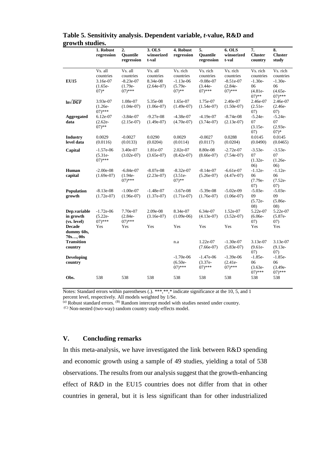|                                          | 1. Robust<br>regression                                  | 2.<br>Quantile<br>regression                                   | 3. OLS<br>winsorized<br>t-val                    | 4. Robust<br>regression                                         | 5.<br><b>Ouantile</b><br>regression                              | 6. OLS<br>winsorized<br>t-val                                   | $\overline{7}$ .<br><b>Cluster</b><br>country                      | 8.<br><b>Cluster</b><br>study                                       |
|------------------------------------------|----------------------------------------------------------|----------------------------------------------------------------|--------------------------------------------------|-----------------------------------------------------------------|------------------------------------------------------------------|-----------------------------------------------------------------|--------------------------------------------------------------------|---------------------------------------------------------------------|
| <b>EU15</b>                              | Vs. all<br>countries<br>3.16e-07<br>$(1.65e-$<br>$(07)*$ | Vs. all<br>countries<br>$-8.23e-07$<br>$(1.79e-$<br>$(07)$ *** | Vs. all<br>countries<br>8.34e-08<br>$(2.64e-07)$ | Vs. rich<br>countries<br>$-1.13e-06$<br>$(5.79e -$<br>$(07)$ ** | Vs. rich<br>countries<br>$-9.08e-07$<br>$(3.44e -$<br>$(07)$ *** | Vs. rich<br>countries<br>$-8.51e-07$<br>$(2.84e-$<br>$(07)$ *** | Vs. rich<br>countries<br>$-1.30e-$<br>06<br>$(4.81e-$<br>$(07)$ ** | Vs. rich<br>countries<br>$-1.30e-$<br>06<br>$(4.65e-$<br>$(07)$ *** |
| $\ln\sqrt{DGF}$                          | 3.93e-07<br>$(1.26e -$<br>$(07)$ ***                     | 1.08e-07<br>$(1.04e-07)$                                       | 5.35e-08<br>$(1.06e-07)$                         | 1.65e-07<br>$(1.49e-07)$                                        | 1.75e-07<br>$(1.54e-07)$                                         | 2.40e-07<br>$(1.50e-07)$                                        | 2.46e-07<br>$(2.51e-$<br>07)                                       | 2.46e-07<br>$(2.46e -$<br>(07)                                      |
| <b>Aggregated</b><br>data                | 6.12e-07<br>$(2.62e-$<br>$07)$ **                        | $-3.84e-07$<br>$(2.15e-07)$                                    | $-9.27e-08$<br>$(1.49e-07)$                      | $-4.38e-07$<br>$(4.70e-07)$                                     | $-4.19e-07$<br>$(3.74e-07)$                                      | $-8.74e-08$<br>$(2.13e-07)$                                     | $-5.24e-$<br>07<br>$(3.15e-$<br>(07)                               | $-5.24e-$<br>07<br>$(2.93e-$<br>$(07)*$                             |
| <b>Industry</b><br>level data            | 0.0029<br>(0.0116)                                       | $-0.0027$<br>(0.0133)                                          | 0.0290<br>(0.0204)                               | 0.0029<br>(0.0114)                                              | $-0.0027$<br>(0.0117)                                            | 0.0288<br>(0.0204)                                              | 0.0145<br>(0.0490)                                                 | 0.0145<br>(0.0465)                                                  |
| Capital                                  | $-1.57e-06$<br>$(5.31e-$<br>$(07)$ ***                   | 3.40e-07<br>$(3.02e-07)$                                       | 1.81e-07<br>$(3.65e-07)$                         | 2.02e-07<br>$(8.42e-07)$                                        | 8.80e-08<br>$(8.66e-07)$                                         | $-2.72e-07$<br>$(7.54e-07)$                                     | $-3.53e-$<br>07<br>$(1.32e-$<br>(06)                               | $-3.53e-$<br>07<br>$(1.26e -$<br>(06)                               |
| Human<br>capital                         | $-2.00e-08$<br>$(1.69e-07)$                              | $-6.84e-07$<br>$(1.94e -$<br>$(07)$ ***                        | $-8.07e-08$<br>$(2.23e-07)$                      | $-8.32e-07$<br>$(3.51e-$<br>$(07)$ **                           | $-8.14e-07$<br>$(5.26e-07)$                                      | $-6.61e-07$<br>$(4.47e-07)$                                     | $-1.12e-$<br>06<br>$(7.79e -$<br>(07)                              | $-1.12e-$<br>06<br>$(7.52e-$<br>(07)                                |
| <b>Population</b><br>growth              | $-8.13e-08$<br>$(1.72e-07)$                              | $-1.00e-07$<br>$(1.96e-07)$                                    | $-1.48e-07$<br>$(1.37e-07)$                      | $-3.67e-08$<br>$(1.71e-07)$                                     | $-5.39e-08$<br>$(1.76e-07)$                                      | $-5.02e-09$<br>$(1.06e-07)$                                     | $-5.03e-$<br>09<br>$(5.72e-$<br>(08)                               | $-5.03e-$<br>09<br>$(5.86e -$<br>(08)                               |
| Dep.variable<br>in growth<br>(vs. level) | $-1.72e-06$<br>$(5.22e-$<br>$(07)$ ***                   | 7.70e-07<br>$(2.84e-$<br>$(07)$ ***                            | 2.09e-08<br>$(3.16e-07)$                         | 8.34e-07<br>$(1.09e-06)$                                        | 6.34e-07<br>$(4.13e-07)$                                         | 1.52e-07<br>$(3.52e-07)$                                        | 5.22e-07<br>$(6.06e -$<br>(07)                                     | 5.22e-07<br>$(5.87e-$<br>(07)                                       |
| <b>Decade</b><br>dummy 60s,<br>70s,00s   | Yes                                                      | Yes                                                            | Yes                                              | Yes                                                             | Yes                                                              | Yes                                                             | Yes                                                                | Yes                                                                 |
| <b>Transition</b><br>country             |                                                          |                                                                |                                                  | n.a                                                             | 1.22e-07<br>$(7.66e-07)$                                         | $-1.30e-07$<br>$(5.83e-07)$                                     | 3.13e-07<br>$(9.61e -$<br>(07)                                     | 3.13e-07<br>$(9.13e-$<br>(07)                                       |
| <b>Developing</b><br>country             |                                                          |                                                                |                                                  | $-1.70e-06$<br>$(6.50e-$<br>$(07)$ ***                          | $-1.47e-06$<br>$(3.37e-$<br>$(07)$ ***                           | $-1.39e-06$<br>$(2.41e-$<br>$(07)$ ***                          | $-1.85e-$<br>06<br>$(3.63e-$<br>$07)$ ***                          | $-1.85e-$<br>06<br>$(3.49e -$<br>$(07)$ ***                         |
| Obs.                                     | 538                                                      | 538                                                            | 538                                              | 538                                                             | 538                                                              | 538                                                             | 538                                                                | 538                                                                 |

## **Table 5. Sensitivity analysis. Dependent variable,** *t***-value, R&D and growth studies.**

Notes: Standard errors within parentheses (.). \*\*\*,\*\*,\* indicate significance at the 10, 5, and 1 percent level, respectively. All models weighted by 1/Se.

(a) Robust standard errors. <sup>(B)</sup> Random intercept model with studies nested under country.

(C) Non-nested (two-way) random country study-effects model.

## **V. Concluding remarks**

In this meta-analysis, we have investigated the link between R&D spending and economic growth using a sample of 49 studies, yielding a total of 538 observations. The results from our analysis suggest that the growth-enhancing effect of R&D in the EU15 countries does not differ from that in other countries in general, but it is less significant than for other industrialized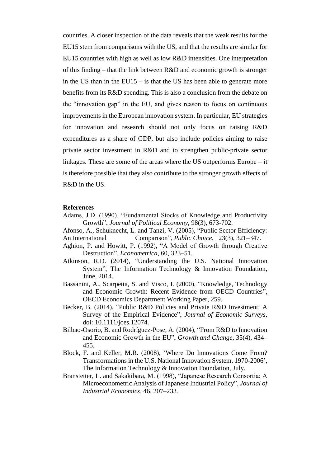countries. A closer inspection of the data reveals that the weak results for the EU15 stem from comparisons with the US, and that the results are similar for EU15 countries with high as well as low R&D intensities. One interpretation of this finding – that the link between R&D and economic growth is stronger in the US than in the EU15 – is that the US has been able to generate more benefits from its R&D spending. This is also a conclusion from the debate on the "innovation gap" in the EU, and gives reason to focus on continuous improvements in the European innovation system. In particular, EU strategies for innovation and research should not only focus on raising R&D expenditures as a share of GDP, but also include policies aiming to raise private sector investment in R&D and to strengthen public-private sector linkages. These are some of the areas where the US outperforms Europe – it is therefore possible that they also contribute to the stronger growth effects of R&D in the US.

#### **References**

- Adams, J.D. (1990), "Fundamental Stocks of Knowledge and Productivity Growth", *Journal of Political Economy*, 98(3), 673-702.
- Afonso, A., Schuknecht, L. and Tanzi, V. (2005), "Public Sector Efficiency: An International Comparison", *Public Choice*, 123(3), 321–347.
- Aghion, P. and Howitt, P. (1992), "A Model of Growth through Creative Destruction", *Econometrica*, 60, 323–51.
- Atkinson, R.D. (2014), "Understanding the U.S. National Innovation System", The Information Technology & Innovation Foundation, June, 2014.
- Bassanini, A., Scarpetta, S. and Visco, I. (2000), "Knowledge, Technology and Economic Growth: Recent Evidence from OECD Countries", OECD Economics Department Working Paper, 259.
- Becker, B. (2014), "Public R&D Policies and Private R&D Investment: A Survey of the Empirical Evidence", *Journal of Economic Surveys*, doi: 10.1111/joes.12074.
- Bilbao-Osorio, B. and Rodríguez-Pose, A. (2004), "From R&D to Innovation and Economic Growth in the EU", *Growth and Change*, 35(4), 434– 455.
- Block, F. and Keller, M.R. (2008), 'Where Do Innovations Come From? Transformations in the U.S. National Innovation System, 1970-2006', The Information Technology & Innovation Foundation, July.
- Branstetter, L. and Sakakibara, M. (1998), "Japanese Research Consortia: A Microeconometric Analysis of Japanese Industrial Policy", *Journal of Industrial Economics*, 46, 207–233.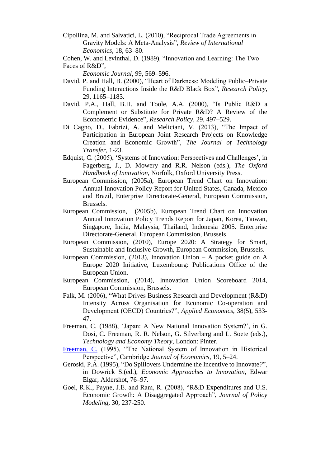- Cipollina, M. and Salvatici, L. (2010), "Reciprocal Trade Agreements in Gravity Models: A Meta-Analysis", *Review of International Economics*, 18, 63–80.
- Cohen, W. and Levinthal, D. (1989), "Innovation and Learning: The Two

*Economic Journal*, 99, 569–596.

- David, P. and Hall, B. (2000), "Heart of Darkness: Modeling Public–Private Funding Interactions Inside the R&D Black Box", *Research Policy,* 29, 1165–1183.
- David, P.A., Hall, B.H. and Toole, A.A. (2000), "Is Public R&D a Complement or Substitute for Private R&D? A Review of the Econometric Evidence", *Research Policy*, 29, 497–529.
- Di Cagno, D., Fabrizi, A. and Meliciani, V. (2013), "The Impact of Participation in European Joint Research Projects on Knowledge Creation and Economic Growth", *The Journal of Technology Transfer*, 1-23.
- Edquist, C. (2005), 'Systems of Innovation: Perspectives and Challenges', in Fagerberg, J., D. Mowery and R.R. Nelson (eds.), *The Oxford Handbook of Innovation*, Norfolk, Oxford University Press.
- European Commission, (2005a), European Trend Chart on Innovation: Annual Innovation Policy Report for United States, Canada, Mexico and Brazil, Enterprise Directorate-General, European Commission, Brussels.
- European Commission, (2005b), European Trend Chart on Innovation Annual Innovation Policy Trends Report for Japan, Korea, Taiwan, Singapore, India, Malaysia, Thailand, Indonesia 2005. Enterprise Directorate-General, European Commission, Brussels.
- European Commission, (2010), Europe 2020: A Strategy for Smart, Sustainable and Inclusive Growth, European Commission, Brussels.
- European Commission, (2013), Innovation Union A pocket guide on A Europe 2020 Initiative, Luxembourg: Publications Office of the European Union.
- European Commission, (2014), Innovation Union Scoreboard 2014, European Commission, Brussels.
- Falk, M. (2006), "What Drives Business Research and Development (R&D) Intensity Across Organisation for Economic Co-operation and Development (OECD) Countries?", *Applied Economics*, 38(5), 533- 47.
- Freeman, C. (1988), 'Japan: A New National Innovation System?', in G. Dosi, C. Freeman, R. R. Nelson, G. Silverberg and L. Soete (eds.), *Technology and Economy Theory*, London: Pinter.
- [Freeman, C.](http://en.wikipedia.org/wiki/Christopher_Freeman) (1995), "The National System of Innovation in Historical Perspective", Cambridge *Journal of Economics*, 19, 5–24.
- Geroski, P.A. (1995), "Do Spillovers Undermine the Incentive to Innovate*?*", in Dowrick S.(ed.), *Economic Approaches to Innovation*, Edwar Elgar, Aldershot, 76–97.
- Goel, R.K., Payne, J.E. and Ram, R. (2008), "R&D Expenditures and U.S. Economic Growth: A Disaggregated Approach", *Journal of Policy Modeling,* 30, 237-250.

Faces of R&D",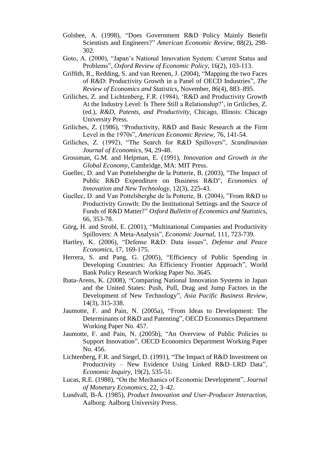- Golsbee, A. (1998), "Does Government R&D Policy Mainly Benefit Scientists and Engineers?" *American Economic Review*, 88(2), 298- 302.
- Goto, A. (2000), "Japan's National Innovation System: Current Status and Problems", *Oxford Review of Economic Policy,* 16(2), 103-113.
- Griffith, R., Redding, S. and van Reenen, J. (2004), "Mapping the two Faces of R&D: Productivity Growth in a Panel of OECD Industries", *The Review of Economics and Statistics*, November, 86(4), 883–895.
- Griliches, Z. and Lichtenberg, F.R. (1984), 'R&D and Productivity Growth At the Industry Level: Is There Still a Relationship?', in Griliches, Z. (ed.), *R&D, Patents, and Productivity*, Chicago, Illinois: Chicago University Press.
- Griliches, Z. (1986), "Productivity, R&D and Basic Research at the Firm Level in the 1970s", *American Economic Review*, 76, 141-54.
- Griliches, Z. (1992), "The Search for R&D Spillovers", *Scandinavian Journal of Economics*, 94, 29-48.
- Grossman, G.M. and Helpman, E. (1991), *Innovation and Growth in the Global Economy*, Cambridge, MA: MIT Press.
- Guellec, D. and Van Pottelsberghe de la Potterie, B. (2003), "The Impact of Public R&D Expenditure on Business R&D", *Economics of Innovation and New Technology*, 12(3), 225-43.
- Guellec, D. and Van Pottelsberghe de la Potterie, B. (2004), "From R&D to Productivity Growth: Do the Institutional Settings and the Source of Funds of R&D Matter?" *Oxford Bulletin of Economics and Statistics*, 66, 353-78.
- Görg, H. and Strobl, E. (2001), "Multinational Companies and Productivity Spillovers: A Meta-Analysis", *Economic Journal,* 111, 723-739.
- Hartley, K. (2006), "Defense R&D: Data issues", *Defense and Peace Economics*, 17, 169-175.
- Herrera, S. and Pang, G. (2005), "Efficiency of Public Spending in Developing Countries: An Efficiency Frontier Approach", World Bank Policy Research Working Paper No. 3645.
- Ibata-Arens, K. (2008), "Comparing National Innovation Systems in Japan and the United States: Push, Pull, Drag and Jump Factors in the Development of New Technology", *Asia Pacific Business Review*, 14(3), 315-338.
- Jaumotte, F. and Pain, N. (2005a), "From Ideas to Development: The Determinants of R&D and Patenting", OECD Economics Department Working Paper No. 457.
- Jaumotte, F. and Pain, N. (2005b), "An Overview of Public Policies to Support Innovation", OECD Economics Department Working Paper No. 456.
- Lichtenberg, F.R. and Siegel, D. (1991), "The Impact of R&D Investment on Productivity – New Evidence Using Linked R&D–LRD Data", *Economic Inquiry*, 19(2), 535-51.
- Lucas, R.E. (1988), "On the Mechanics of Economic Development", *Journal of Monetary Economics,* 22, 3–42.
- Lundvall, B-Å. (1985), *Product Innovation and User-Producer Interaction*, Aalborg: Aalborg University Press.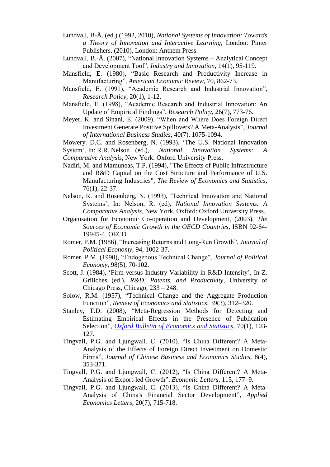- Lundvall, B-Å. (ed.) (1992, 2010), *National Systems of Innovation: Towards a Theory of Innovation and Interactive Learning*, London: Pinter Publishers. (2010), London: Anthem Press.
- Lundvall, B.-Å. (2007), "National Innovation Systems Analytical Concept and Development Tool", *Industry and Innovation*, 14(1), 95-119.
- Mansfield, E. (1980), "Basic Research and Productivity Increase in Manufacturing", *American Economic Review*, 70, 862-73.
- Mansfield, E. (1991), "Academic Research and Industrial Innovation", *Research Policy*, 20(1), 1-12.
- Mansfield, E. (1998), "Academic Research and Industrial Innovation: An Update of Empirical Findings", *Research Policy*, 26(7), 773-76.
- Meyer, K. and Sinani, E. (2009), "When and Where Does Foreign Direct Investment Generate Positive Spillovers? A Meta-Analysis", *Journal of International Business Studies,* 40(7), 1075-1094.

Mowery. D.C. and Rosenberg, N. (1993), 'The U.S. National Innovation System', In: R.R. Nelson (ed.), *National Innovation Systems: A Comparative Analysis*, New York: Oxford University Press.

- Nadiri, M. and Mamuneas, T.P. (1994), "The Effects of Public Infrastructure and R&D Capital on the Cost Structure and Performance of U.S. Manufacturing Industries", *The Review of Economics and Statistics,*  76(1), 22-37.
- Nelson, R. and Rosenberg, N. (1993), 'Technical Innovation and National Systems', In: Nelson, R. (ed), *National Innovation Systems: A Comparative Analysis*, New York, Oxford: Oxford University Press.
- Organisation for Economic Co-operation and Development, (2003), *The Sources of Economic Growth in the OECD Countries*, ISBN 92-64- 19945-4, OECD.
- Romer, P.M. (1986), "Increasing Returns and Long-Run Growth", *Journal of Political Economy*, 94, 1002-37.
- Romer, P.M. (1990), "Endogenous Technical Change", *Journal of Political Economy*, 98(5), 70-102.
- Scott, J. (1984), 'Firm versus Industry Variability in R&D Intensity', In Z. Griliches (ed.), *R&D, Patents, and Productivity*, University of Chicago Press, Chicago, 233 – 248.
- Solow, R.M. (1957), "Technical Change and the Aggregate Production Function", *Review of Economics and Statistics*, 39(3), 312–320.
- Stanley, T.D. (2008), "Meta-Regression Methods for Detecting and Estimating Empirical Effects in the Presence of Publication Selection", *[Oxford Bulletin of Economics and Statistics](http://ideas.repec.org/s/bla/obuest.html)*, 70**(**1), 103- 127.
- Tingvall, P.G. and Ljungwall, C. (2010), "Is China Different? A Meta-Analysis of the Effects of Foreign Direct Investment on Domestic Firms", *Journal of Chinese Business and Economics Studies,* 8(4), 353-371.
- Tingvall, P.G. and Ljungwall, C. (2012), "Is China Different? A Meta-Analysis of Export-led Growth", *Economic Letters*, 115, 177–9.
- Tingvall, P.G. and Ljungwall, C. (2013), ["Is China Different? A Meta-](http://ideas.repec.org/a/taf/apeclt/v20y2013i7p715-718.html)[Analysis of China's Financial Sector Development"](http://ideas.repec.org/a/taf/apeclt/v20y2013i7p715-718.html), *[Applied](http://ideas.repec.org/s/taf/apeclt.html)  [Economics Letters](http://ideas.repec.org/s/taf/apeclt.html)*, 20(7), 715-718.